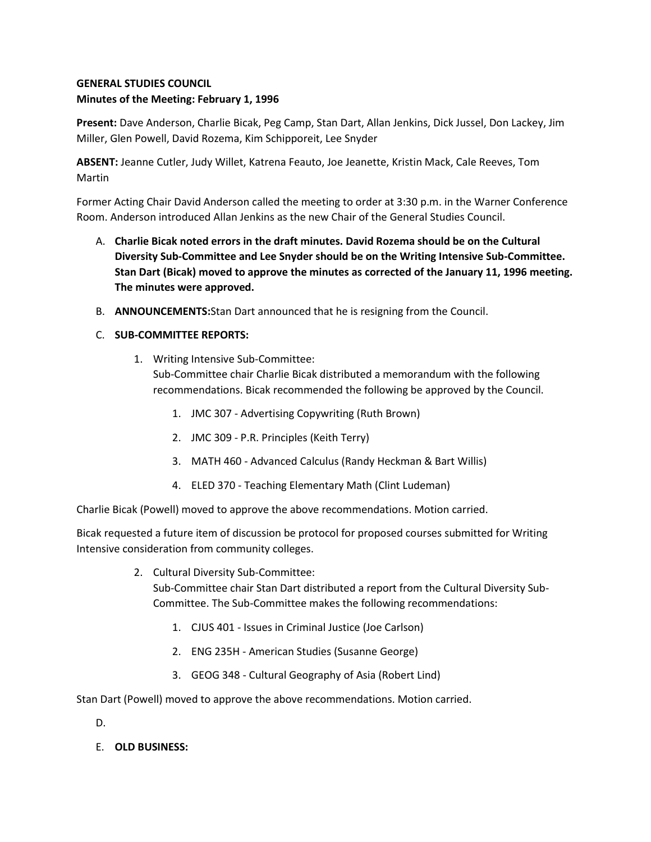## **GENERAL STUDIES COUNCIL Minutes of the Meeting: February 1, 1996**

**Present:** Dave Anderson, Charlie Bicak, Peg Camp, Stan Dart, Allan Jenkins, Dick Jussel, Don Lackey, Jim Miller, Glen Powell, David Rozema, Kim Schipporeit, Lee Snyder

**ABSENT:** Jeanne Cutler, Judy Willet, Katrena Feauto, Joe Jeanette, Kristin Mack, Cale Reeves, Tom Martin

Former Acting Chair David Anderson called the meeting to order at 3:30 p.m. in the Warner Conference Room. Anderson introduced Allan Jenkins as the new Chair of the General Studies Council.

- A. **Charlie Bicak noted errors in the draft minutes. David Rozema should be on the Cultural Diversity Sub-Committee and Lee Snyder should be on the Writing Intensive Sub-Committee. Stan Dart (Bicak) moved to approve the minutes as corrected of the January 11, 1996 meeting. The minutes were approved.**
- B. **ANNOUNCEMENTS:**Stan Dart announced that he is resigning from the Council.
- C. **SUB-COMMITTEE REPORTS:**
	- 1. Writing Intensive Sub-Committee: Sub-Committee chair Charlie Bicak distributed a memorandum with the following recommendations. Bicak recommended the following be approved by the Council.
		- 1. JMC 307 Advertising Copywriting (Ruth Brown)
		- 2. JMC 309 P.R. Principles (Keith Terry)
		- 3. MATH 460 Advanced Calculus (Randy Heckman & Bart Willis)
		- 4. ELED 370 Teaching Elementary Math (Clint Ludeman)

Charlie Bicak (Powell) moved to approve the above recommendations. Motion carried.

Bicak requested a future item of discussion be protocol for proposed courses submitted for Writing Intensive consideration from community colleges.

- 2. Cultural Diversity Sub-Committee: Sub-Committee chair Stan Dart distributed a report from the Cultural Diversity Sub-Committee. The Sub-Committee makes the following recommendations:
	- 1. CJUS 401 Issues in Criminal Justice (Joe Carlson)
	- 2. ENG 235H American Studies (Susanne George)
	- 3. GEOG 348 Cultural Geography of Asia (Robert Lind)

Stan Dart (Powell) moved to approve the above recommendations. Motion carried.

D.

E. **OLD BUSINESS:**